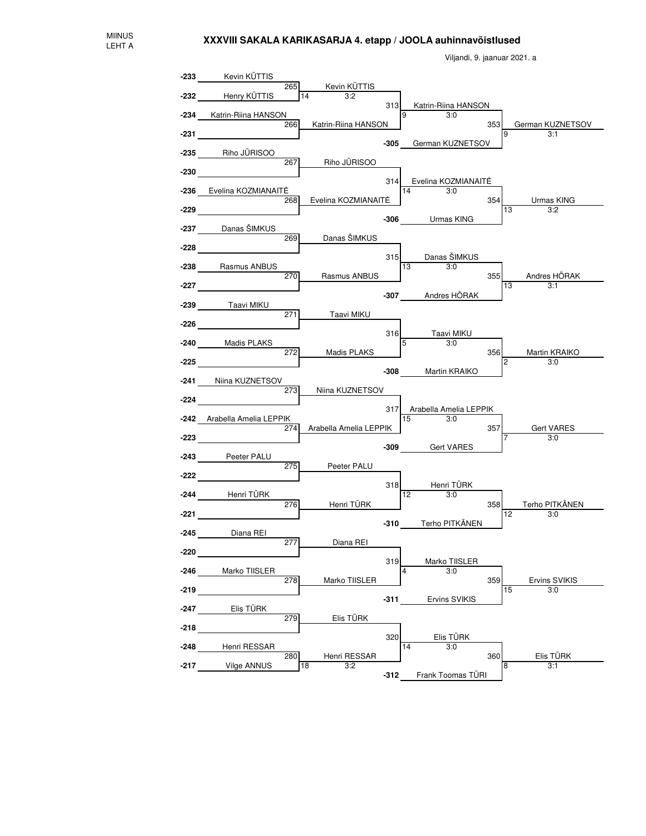

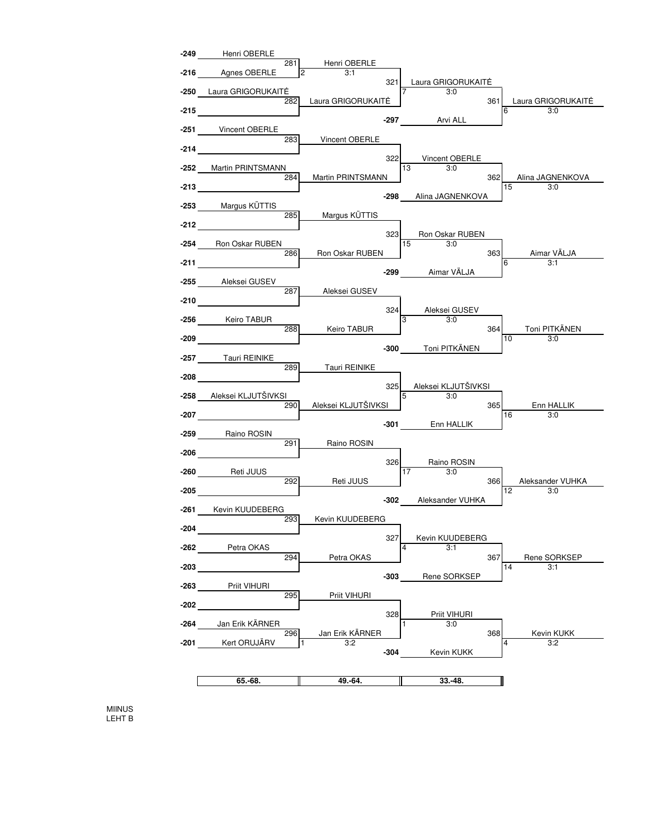

MIINUS LEHT B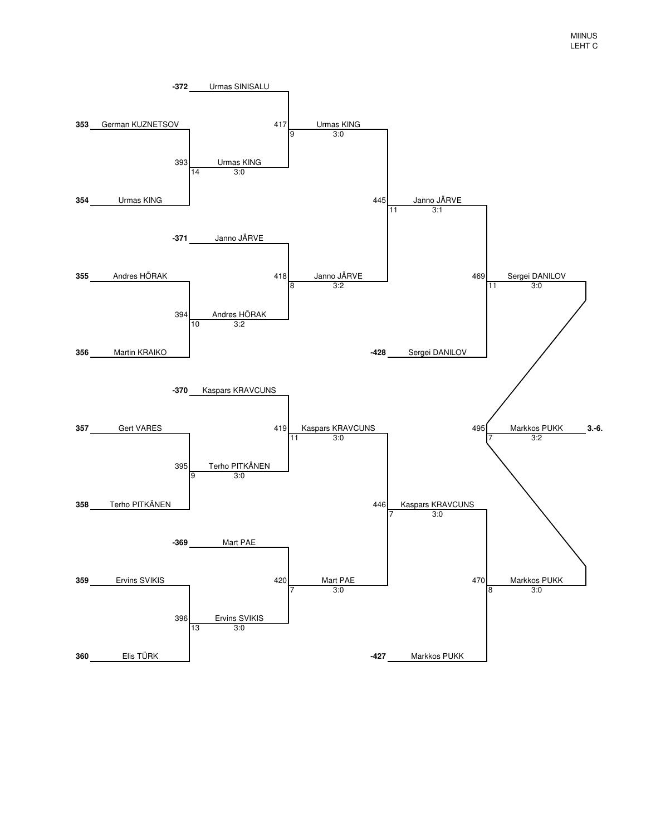